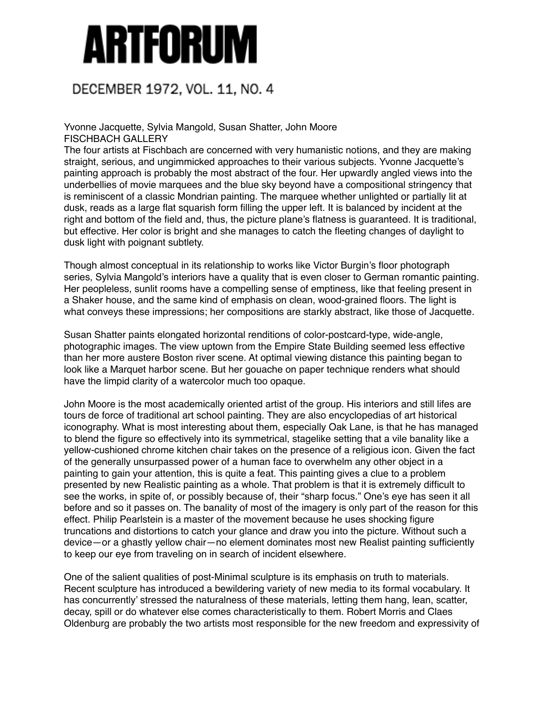## Artforum

## DECEMBER 1972, VOL. 11, NO. 4

Yvonne Jacquette, Sylvia Mangold, Susan Shatter, John Moore FISCHBACH GALLERY

The four artists at Fischbach are concerned with very humanistic notions, and they are making straight, serious, and ungimmicked approaches to their various subjects. Yvonne Jacquette's painting approach is probably the most abstract of the four. Her upwardly angled views into the underbellies of movie marquees and the blue sky beyond have a compositional stringency that is reminiscent of a classic Mondrian painting. The marquee whether unlighted or partially lit at dusk, reads as a large flat squarish form filling the upper left. It is balanced by incident at the right and bottom of the field and, thus, the picture plane's flatness is guaranteed. It is traditional, but effective. Her color is bright and she manages to catch the fleeting changes of daylight to dusk light with poignant subtlety.

Though almost conceptual in its relationship to works like Victor Burgin's floor photograph series, Sylvia Mangold's interiors have a quality that is even closer to German romantic painting. Her peopleless, sunlit rooms have a compelling sense of emptiness, like that feeling present in a Shaker house, and the same kind of emphasis on clean, wood-grained floors. The light is what conveys these impressions; her compositions are starkly abstract, like those of Jacquette.

Susan Shatter paints elongated horizontal renditions of color-postcard-type, wide-angle, photographic images. The view uptown from the Empire State Building seemed less effective than her more austere Boston river scene. At optimal viewing distance this painting began to look like a Marquet harbor scene. But her gouache on paper technique renders what should have the limpid clarity of a watercolor much too opaque.

John Moore is the most academically oriented artist of the group. His interiors and still lifes are tours de force of traditional art school painting. They are also encyclopedias of art historical iconography. What is most interesting about them, especially Oak Lane, is that he has managed to blend the figure so effectively into its symmetrical, stagelike setting that a vile banality like a yellow-cushioned chrome kitchen chair takes on the presence of a religious icon. Given the fact of the generally unsurpassed power of a human face to overwhelm any other object in a painting to gain your attention, this is quite a feat. This painting gives a clue to a problem presented by new Realistic painting as a whole. That problem is that it is extremely difficult to see the works, in spite of, or possibly because of, their "sharp focus." One's eye has seen it all before and so it passes on. The banality of most of the imagery is only part of the reason for this effect. Philip Pearlstein is a master of the movement because he uses shocking figure truncations and distortions to catch your glance and draw you into the picture. Without such a device—or a ghastly yellow chair—no element dominates most new Realist painting sufficiently to keep our eye from traveling on in search of incident elsewhere.

One of the salient qualities of post-Minimal sculpture is its emphasis on truth to materials. Recent sculpture has introduced a bewildering variety of new media to its formal vocabulary. It has concurrently' stressed the naturalness of these materials, letting them hang, lean, scatter, decay, spill or do whatever else comes characteristically to them. Robert Morris and Claes Oldenburg are probably the two artists most responsible for the new freedom and expressivity of